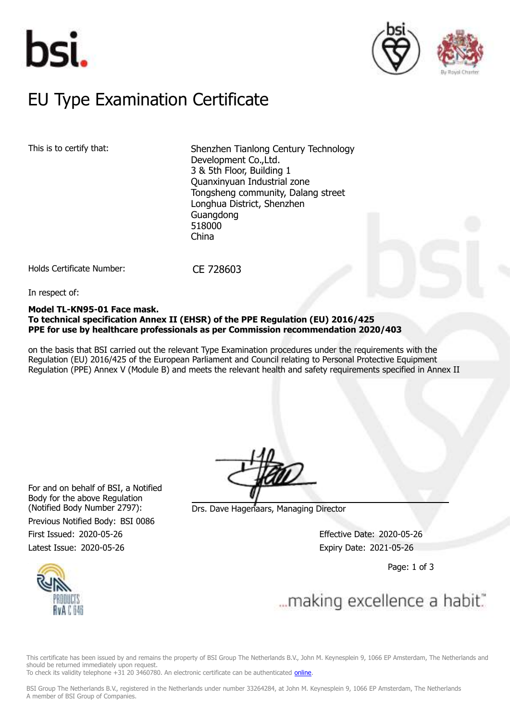





### $E$ U Type Examination Certific EU Type Examination Certificate

This is to certify that: Shenzhen Tianlong Century Technology Development Co.,Ltd. 3 & 5th Floor, Building 1 Quanxinyuan Industrial zone Tongsheng community, Dalang street Longhua District, Shenzhen **Guangdong** 518000 China

Holds Certificate Number: CE 728603

In respect of:

### **Model TL-KN95-01 Face mask. To technical specification Annex II (EHSR) of the PPE Regulation (EU) 2016/425 PPE for use by healthcare professionals as per Commission recommendation 2020/403**

on the basis that BSI carried out the relevant Type Examination procedures under the requirements with the Regulation (EU) 2016/425 of the European Parliament and Council relating to Personal Protective Equipment Regulation (PPE) Annex V (Module B) and meets the relevant health and safety requirements specified in Annex II

For and on behalf of BSI, a Notified Body for the above Regulation First Issued: 2020-05-26 Effective Date: 2020-05-26 Previous Notified Body: BSI 0086

Latest Issue: 2020-05-26 **Expiry Date: 2021-05-26** 

(Notified Body Number 2797): Drs. Dave Hagenaars, Managing Director

Page: 1 of 3



This certificate has been issued by and remains the property of BSI Group The Netherlands B.V., John M. Keynesplein 9, 1066 EP Amsterdam, The Netherlands and should be returned immediately upon request.

To check its validity telephone +31 20 3460780. An electronic certificate can be authenticated [online.](https://pgplus.bsigroup.com/CertificateValidation/CertificateValidator.aspx?CertificateNumber=CE+728603&ReIssueDate=26%2f05%2f2020&Template=uk)

BSI Group The Netherlands B.V., registered in the Netherlands under number 33264284, at John M. Keynesplein 9, 1066 EP Amsterdam, The Netherlands A member of BSI Group of Companies.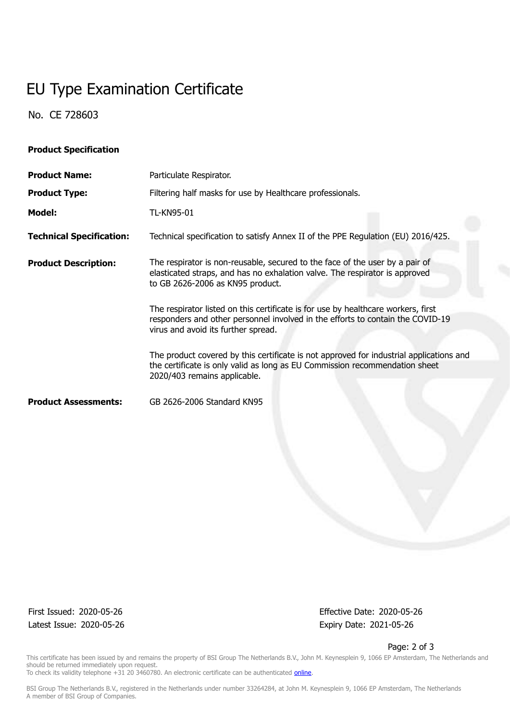## EU Type Examination Certificate

No. CE 728603

**Product Specification**

| <b>Product Name:</b>            | Particulate Respirator.                                                                                                                                                                                    |
|---------------------------------|------------------------------------------------------------------------------------------------------------------------------------------------------------------------------------------------------------|
| <b>Product Type:</b>            | Filtering half masks for use by Healthcare professionals.                                                                                                                                                  |
| Model:                          | <b>TL-KN95-01</b>                                                                                                                                                                                          |
| <b>Technical Specification:</b> | Technical specification to satisfy Annex II of the PPE Regulation (EU) 2016/425.                                                                                                                           |
| <b>Product Description:</b>     | The respirator is non-reusable, secured to the face of the user by a pair of<br>elasticated straps, and has no exhalation valve. The respirator is approved<br>to GB 2626-2006 as KN95 product.            |
|                                 | The respirator listed on this certificate is for use by healthcare workers, first<br>responders and other personnel involved in the efforts to contain the COVID-19<br>virus and avoid its further spread. |
|                                 | The product covered by this certificate is not approved for industrial applications and<br>the certificate is only valid as long as EU Commission recommendation sheet<br>2020/403 remains applicable.     |
| <b>Product Assessments:</b>     | GB 2626-2006 Standard KN95                                                                                                                                                                                 |

Latest Issue: 2020-05-26 Expiry Date: 2021-05-26

First Issued: 2020-05-26 Effective Date: 2020-05-26

Page: 2 of 3

This certificate has been issued by and remains the property of BSI Group The Netherlands B.V., John M. Keynesplein 9, 1066 EP Amsterdam, The Netherlands and should be returned immediately upon request. To check its validity telephone +31 20 3460780. An electronic certificate can be authenticated *online*.

BSI Group The Netherlands B.V., registered in the Netherlands under number 33264284, at John M. Keynesplein 9, 1066 EP Amsterdam, The Netherlands A member of BSI Group of Companies.